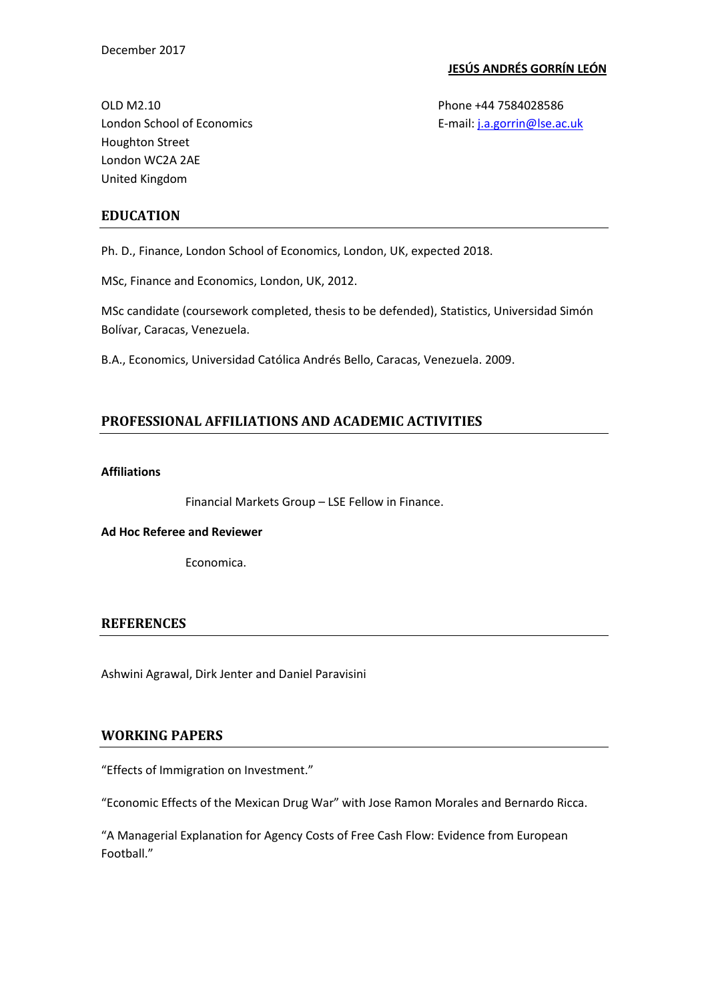### **JESÚS ANDRÉS GORRÍN LEÓN**

OLD M2.10 **Phone +44 7584028586** London School of Economics **E-mail:** *j.a.gorrin@lse.ac.uk* Houghton Street London WC2A 2AE United Kingdom

## **EDUCATION**

Ph. D., Finance, London School of Economics, London, UK, expected 2018.

MSc, Finance and Economics, London, UK, 2012.

MSc candidate (coursework completed, thesis to be defended), Statistics, Universidad Simón Bolívar, Caracas, Venezuela.

B.A., Economics, Universidad Católica Andrés Bello, Caracas, Venezuela. 2009.

# **PROFESSIONAL AFFILIATIONS AND ACADEMIC ACTIVITIES**

### **Affiliations**

Financial Markets Group – LSE Fellow in Finance.

### **Ad Hoc Referee and Reviewer**

Economica.

### **REFERENCES**

Ashwini Agrawal, Dirk Jenter and Daniel Paravisini

## **WORKING PAPERS**

"Effects of Immigration on Investment."

"Economic Effects of the Mexican Drug War" with Jose Ramon Morales and Bernardo Ricca.

"A Managerial Explanation for Agency Costs of Free Cash Flow: Evidence from European Football."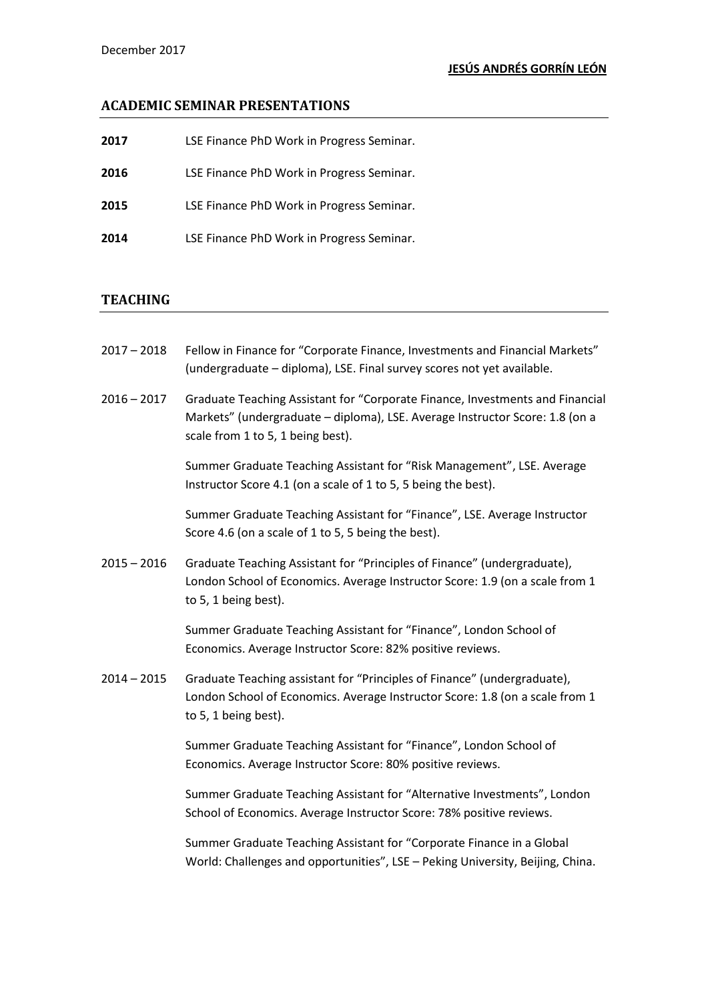## **ACADEMIC SEMINAR PRESENTATIONS**

| 2017 | LSE Finance PhD Work in Progress Seminar. |
|------|-------------------------------------------|
| 2016 | LSE Finance PhD Work in Progress Seminar. |
| 2015 | LSE Finance PhD Work in Progress Seminar. |
| 2014 | LSE Finance PhD Work in Progress Seminar. |

### **TEACHING**

- 2017 2018 Fellow in Finance for "Corporate Finance, Investments and Financial Markets" (undergraduate – diploma), LSE. Final survey scores not yet available.
- 2016 2017 Graduate Teaching Assistant for "Corporate Finance, Investments and Financial Markets" (undergraduate – diploma), LSE. Average Instructor Score: 1.8 (on a scale from 1 to 5, 1 being best).

Summer Graduate Teaching Assistant for "Risk Management", LSE. Average Instructor Score 4.1 (on a scale of 1 to 5, 5 being the best).

Summer Graduate Teaching Assistant for "Finance", LSE. Average Instructor Score 4.6 (on a scale of 1 to 5, 5 being the best).

2015 – 2016 Graduate Teaching Assistant for "Principles of Finance" (undergraduate), London School of Economics. Average Instructor Score: 1.9 (on a scale from 1 to 5, 1 being best).

> Summer Graduate Teaching Assistant for "Finance", London School of Economics. Average Instructor Score: 82% positive reviews.

2014 – 2015 Graduate Teaching assistant for "Principles of Finance" (undergraduate), London School of Economics. Average Instructor Score: 1.8 (on a scale from 1 to 5, 1 being best).

> Summer Graduate Teaching Assistant for "Finance", London School of Economics. Average Instructor Score: 80% positive reviews.

Summer Graduate Teaching Assistant for "Alternative Investments", London School of Economics. Average Instructor Score: 78% positive reviews.

Summer Graduate Teaching Assistant for "Corporate Finance in a Global World: Challenges and opportunities", LSE – Peking University, Beijing, China.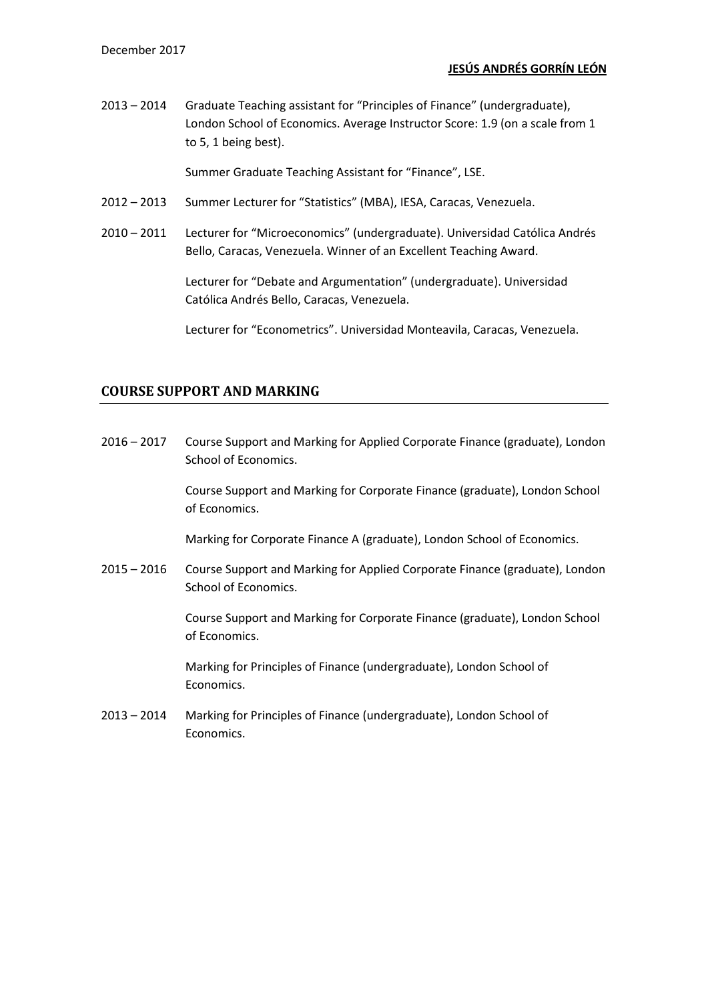2013 – 2014 Graduate Teaching assistant for "Principles of Finance" (undergraduate), London School of Economics. Average Instructor Score: 1.9 (on a scale from 1 to 5, 1 being best).

Summer Graduate Teaching Assistant for "Finance", LSE.

- 2012 2013 Summer Lecturer for "Statistics" (MBA), IESA, Caracas, Venezuela.
- 2010 2011 Lecturer for "Microeconomics" (undergraduate). Universidad Católica Andrés Bello, Caracas, Venezuela. Winner of an Excellent Teaching Award.

Lecturer for "Debate and Argumentation" (undergraduate). Universidad Católica Andrés Bello, Caracas, Venezuela.

Lecturer for "Econometrics". Universidad Monteavila, Caracas, Venezuela.

## **COURSE SUPPORT AND MARKING**

2016 – 2017 Course Support and Marking for Applied Corporate Finance (graduate), London School of Economics.

> Course Support and Marking for Corporate Finance (graduate), London School of Economics.

Marking for Corporate Finance A (graduate), London School of Economics.

2015 – 2016 Course Support and Marking for Applied Corporate Finance (graduate), London School of Economics.

> Course Support and Marking for Corporate Finance (graduate), London School of Economics.

Marking for Principles of Finance (undergraduate), London School of Economics.

2013 – 2014 Marking for Principles of Finance (undergraduate), London School of Economics.